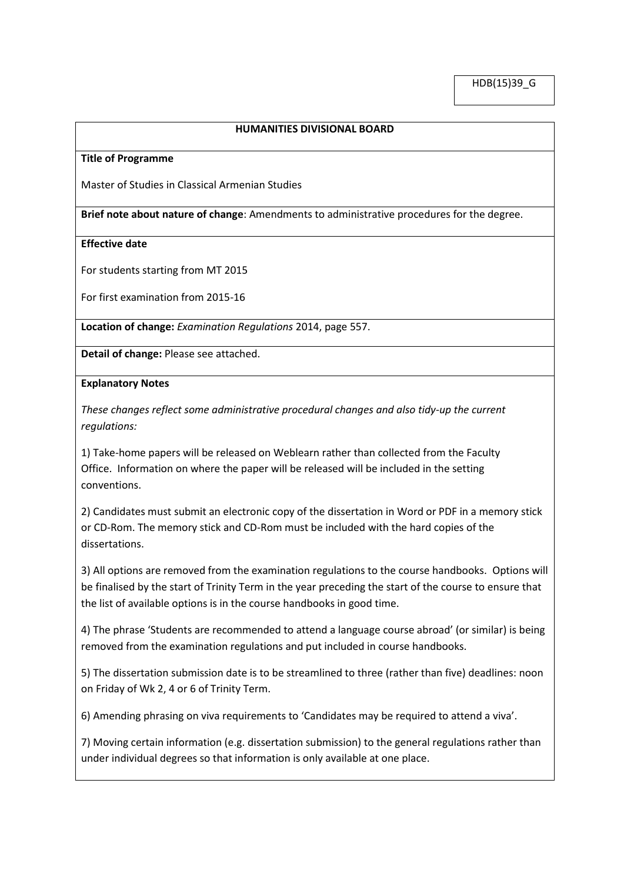## **HUMANITIES DIVISIONAL BOARD**

#### **Title of Programme**

Master of Studies in Classical Armenian Studies

**Brief note about nature of change**: Amendments to administrative procedures for the degree.

### **Effective date**

For students starting from MT 2015

For first examination from 2015-16

**Location of change:** *Examination Regulations* 2014, page 557.

**Detail of change:** Please see attached.

### **Explanatory Notes**

*These changes reflect some administrative procedural changes and also tidy-up the current regulations:*

1) Take-home papers will be released on Weblearn rather than collected from the Faculty Office. Information on where the paper will be released will be included in the setting conventions.

2) Candidates must submit an electronic copy of the dissertation in Word or PDF in a memory stick or CD-Rom. The memory stick and CD-Rom must be included with the hard copies of the dissertations.

3) All options are removed from the examination regulations to the course handbooks. Options will be finalised by the start of Trinity Term in the year preceding the start of the course to ensure that the list of available options is in the course handbooks in good time.

4) The phrase 'Students are recommended to attend a language course abroad' (or similar) is being removed from the examination regulations and put included in course handbooks.

5) The dissertation submission date is to be streamlined to three (rather than five) deadlines: noon on Friday of Wk 2, 4 or 6 of Trinity Term.

6) Amending phrasing on viva requirements to 'Candidates may be required to attend a viva'.

7) Moving certain information (e.g. dissertation submission) to the general regulations rather than under individual degrees so that information is only available at one place.